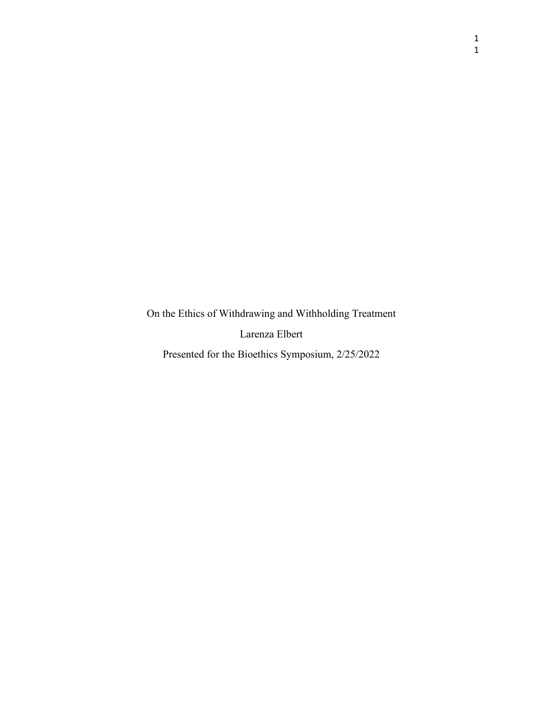On the Ethics of Withdrawing and Withholding Treatment

Larenza Elbert

Presented for the Bioethics Symposium, 2/25/2022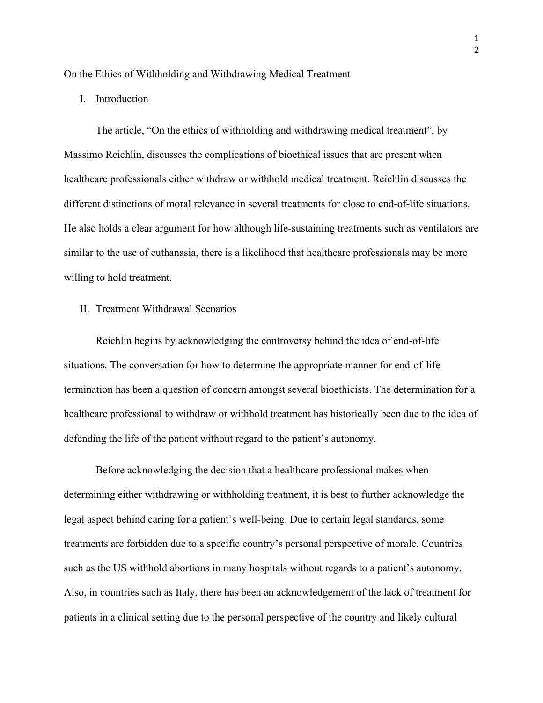On the Ethics of Withholding and Withdrawing Medical Treatment

I. Introduction

The article, "On the ethics of withholding and withdrawing medical treatment", by Massimo Reichlin, discusses the complications of bioethical issues that are present when healthcare professionals either withdraw or withhold medical treatment. Reichlin discusses the different distinctions of moral relevance in several treatments for close to end-of-life situations. He also holds a clear argument for how although life-sustaining treatments such as ventilators are similar to the use of euthanasia, there is a likelihood that healthcare professionals may be more willing to hold treatment.

II. Treatment Withdrawal Scenarios

Reichlin begins by acknowledging the controversy behind the idea of end-of-life situations. The conversation for how to determine the appropriate manner for end-of-life termination has been a question of concern amongst several bioethicists. The determination for a healthcare professional to withdraw or withhold treatment has historically been due to the idea of defending the life of the patient without regard to the patient's autonomy.

Before acknowledging the decision that a healthcare professional makes when determining either withdrawing or withholding treatment, it is best to further acknowledge the legal aspect behind caring for a patient's well-being. Due to certain legal standards, some treatments are forbidden due to a specific country's personal perspective of morale. Countries such as the US withhold abortions in many hospitals without regards to a patient's autonomy. Also, in countries such as Italy, there has been an acknowledgement of the lack of treatment for patients in a clinical setting due to the personal perspective of the country and likely cultural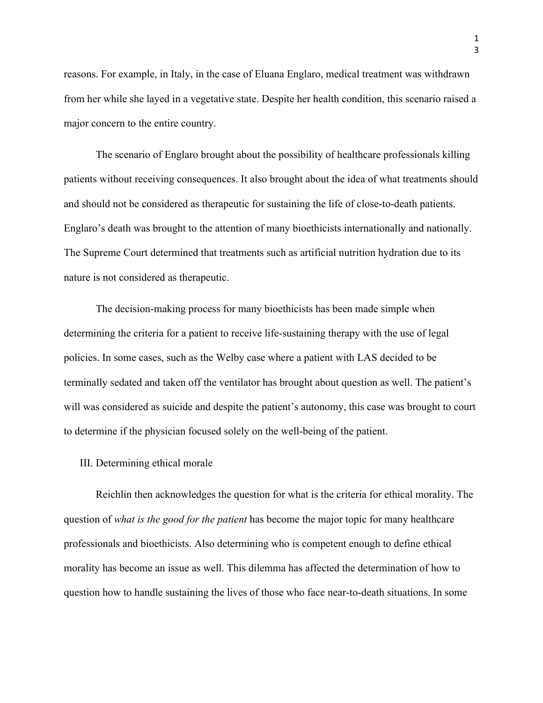reasons. For example, in Italy, in the case of Eluana Englaro, medical treatment was withdrawn from her while she layed in a vegetative state. Despite her health condition, this scenario raised a major concern to the entire country.

The scenario of Englaro brought about the possibility of healthcare professionals killing patients without receiving consequences. It also brought about the idea of what treatments should and should not be considered as therapeutic for sustaining the life of close-to-death patients. Englaro's death was brought to the attention of many bioethicists internationally and nationally. The Supreme Court determined that treatments such as artificial nutrition hydration due to its nature is not considered as therapeutic.

The decision-making process for many bioethicists has been made simple when determining the criteria for a patient to receive life-sustaining therapy with the use of legal policies. In some cases, such as the Welby case where a patient with LAS decided to be terminally sedated and taken off the ventilator has brought about question as well. The patient's will was considered as suicide and despite the patient's autonomy, this case was brought to court to determine if the physician focused solely on the well-being of the patient.

## III. Determining ethical morale

Reichlin then acknowledges the question for what is the criteria for ethical morality. The question of *what is the good for the patient* has become the major topic for many healthcare professionals and bioethicists. Also determining who is competent enough to define ethical morality has become an issue as well. This dilemma has affected the determination of how to question how to handle sustaining the lives of those who face near-to-death situations. In some

1 3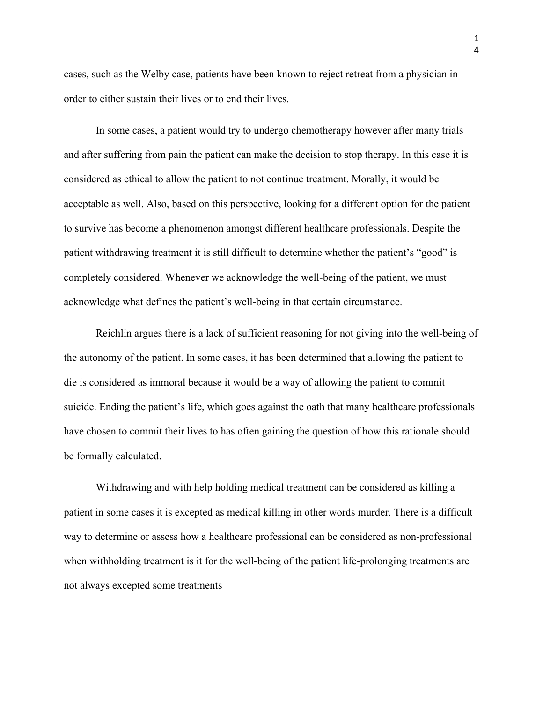cases, such as the Welby case, patients have been known to reject retreat from a physician in order to either sustain their lives or to end their lives.

In some cases, a patient would try to undergo chemotherapy however after many trials and after suffering from pain the patient can make the decision to stop therapy. In this case it is considered as ethical to allow the patient to not continue treatment. Morally, it would be acceptable as well. Also, based on this perspective, looking for a different option for the patient to survive has become a phenomenon amongst different healthcare professionals. Despite the patient withdrawing treatment it is still difficult to determine whether the patient's "good" is completely considered. Whenever we acknowledge the well-being of the patient, we must acknowledge what defines the patient's well-being in that certain circumstance.

Reichlin argues there is a lack of sufficient reasoning for not giving into the well-being of the autonomy of the patient. In some cases, it has been determined that allowing the patient to die is considered as immoral because it would be a way of allowing the patient to commit suicide. Ending the patient's life, which goes against the oath that many healthcare professionals have chosen to commit their lives to has often gaining the question of how this rationale should be formally calculated.

Withdrawing and with help holding medical treatment can be considered as killing a patient in some cases it is excepted as medical killing in other words murder. There is a difficult way to determine or assess how a healthcare professional can be considered as non-professional when withholding treatment is it for the well-being of the patient life-prolonging treatments are not always excepted some treatments